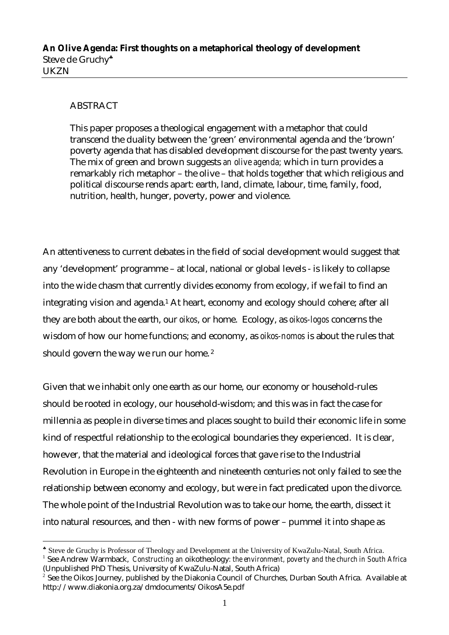## ABSTRACT

 $\overline{a}$ 

This paper proposes a theological engagement with a metaphor that could transcend the duality between the 'green' environmental agenda and the 'brown' poverty agenda that has disabled development discourse for the past twenty years. The mix of green and brown suggests *an olive agenda;* which in turn provides a remarkably rich metaphor – the olive – that holds together that which religious and political discourse rends apart: earth, land, climate, labour, time, family, food, nutrition, health, hunger, poverty, power and violence.

An attentiveness to current debates in the field of social development would suggest that any 'development' programme – at local, national or global levels - is likely to collapse into the wide chasm that currently divides economy from ecology, if we fail to find an integrating vision and agenda.<sup>1</sup> At heart, economy and ecology should cohere; after all they are both about the earth, our *oikos*, or home. Ecology, as *oikos-logos* concerns the wisdom of how our home functions; and economy, as *oikos-nomos* is about the rules that should govern the way we run our home. <sup>2</sup>

Given that we inhabit only one earth as our home, our economy or household-rules should be rooted in ecology, our household-wisdom; and this was in fact the case for millennia as people in diverse times and places sought to build their economic life in some kind of respectful relationship to the ecological boundaries they experienced. It is clear, however, that the material and ideological forces that gave rise to the Industrial Revolution in Europe in the eighteenth and nineteenth centuries not only failed to see the relationship between economy and ecology, but were in fact predicated upon the divorce. The whole point of the Industrial Revolution was to take our home, the earth, dissect it into natural resources, and then - with new forms of power – pummel it into shape as

Steve de Gruchy is Professor of Theology and Development at the University of KwaZulu-Natal, South Africa.

<sup>1</sup> See Andrew Warmback, *Constructing an* oikotheology*: the environment, poverty and the church in South Africa* (Unpublished PhD Thesis, University of KwaZulu-Natal, South Africa)

 $^2$  See the Oikos Journey, published by the Diakonia Council of Churches, Durban South Africa. Available at http://www.diakonia.org.za/dmdocuments/OikosA5e.pdf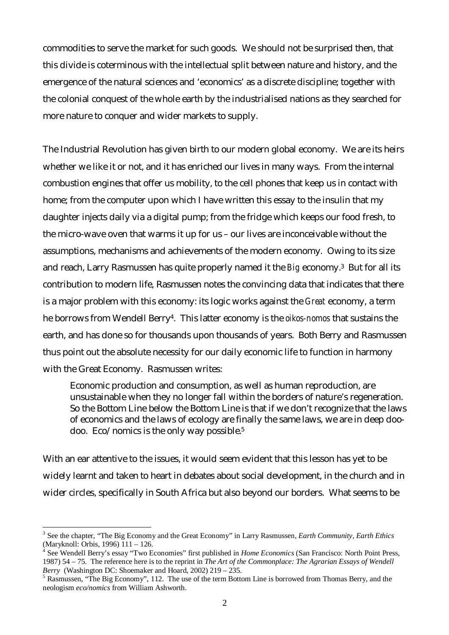commodities to serve the market for such goods. We should not be surprised then, that this divide is coterminous with the intellectual split between nature and history, and the emergence of the natural sciences and 'economics' as a discrete discipline; together with the colonial conquest of the whole earth by the industrialised nations as they searched for more nature to conquer and wider markets to supply.

The Industrial Revolution has given birth to our modern global economy. We are its heirs whether we like it or not, and it has enriched our lives in many ways. From the internal combustion engines that offer us mobility, to the cell phones that keep us in contact with home; from the computer upon which I have written this essay to the insulin that my daughter injects daily via a digital pump; from the fridge which keeps our food fresh, to the micro-wave oven that warms it up for us – our lives are inconceivable without the assumptions, mechanisms and achievements of the modern economy. Owing to its size and reach, Larry Rasmussen has quite properly named it the *Big* economy.<sup>3</sup> But for all its contribution to modern life, Rasmussen notes the convincing data that indicates that there is a major problem with this economy: its logic works against the *Great* economy, a term he borrows from Wendell Berry<sup>4</sup> . This latter economy is the *oikos-nomos* that sustains the earth, and has done so for thousands upon thousands of years. Both Berry and Rasmussen thus point out the absolute necessity for our daily economic life to function in harmony with the Great Economy. Rasmussen writes:

Economic production and consumption, as well as human reproduction, are unsustainable when they no longer fall within the borders of nature's regeneration. So the Bottom Line below the Bottom Line is that if we don't recognize that the laws of economics and the laws of ecology are finally the same laws, we are in deep doodoo. Eco/nomics is the only way possible.<sup>5</sup>

With an ear attentive to the issues, it would seem evident that this lesson has yet to be widely learnt and taken to heart in debates about social development, in the church and in wider circles, specifically in South Africa but also beyond our borders. What seems to be

 $\overline{a}$ 

<sup>3</sup> See the chapter, "The Big Economy and the Great Economy" in Larry Rasmussen, *Earth Community, Earth Ethics* (Maryknoll: Orbis, 1996) 111 – 126.

<sup>4</sup> See Wendell Berry's essay "Two Economies" first published in *Home Economics* (San Francisco: North Point Press, 1987) 54 – 75. The reference here is to the reprint in *The Art of the Commonplace: The Agrarian Essays of Wendell Berry* (Washington DC: Shoemaker and Hoard, 2002) 219 – 235.

<sup>&</sup>lt;sup>5</sup> Rasmussen, "The Big Economy", 112. The use of the term Bottom Line is borrowed from Thomas Berry, and the neologism *eco/nomics* from William Ashworth.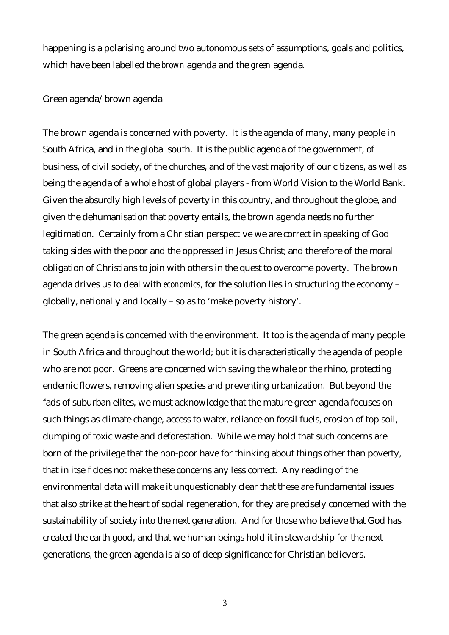happening is a polarising around two autonomous sets of assumptions, goals and politics, which have been labelled the *brown* agenda and the *green* agenda.

### Green agenda/brown agenda

The brown agenda is concerned with poverty. It is the agenda of many, many people in South Africa, and in the global south. It is the public agenda of the government, of business, of civil society, of the churches, and of the vast majority of our citizens, as well as being the agenda of a whole host of global players - from World Vision to the World Bank. Given the absurdly high levels of poverty in this country, and throughout the globe, and given the dehumanisation that poverty entails, the brown agenda needs no further legitimation. Certainly from a Christian perspective we are correct in speaking of God taking sides with the poor and the oppressed in Jesus Christ; and therefore of the moral obligation of Christians to join with others in the quest to overcome poverty. The brown agenda drives us to deal with *economics*, for the solution lies in structuring the economy – globally, nationally and locally – so as to 'make poverty history'.

The green agenda is concerned with the environment. It too is the agenda of many people in South Africa and throughout the world; but it is characteristically the agenda of people who are not poor. Greens are concerned with saving the whale or the rhino, protecting endemic flowers, removing alien species and preventing urbanization. But beyond the fads of suburban elites, we must acknowledge that the mature green agenda focuses on such things as climate change, access to water, reliance on fossil fuels, erosion of top soil, dumping of toxic waste and deforestation. While we may hold that such concerns are born of the privilege that the non-poor have for thinking about things other than poverty, that in itself does not make these concerns any less correct. Any reading of the environmental data will make it unquestionably clear that these are fundamental issues that also strike at the heart of social regeneration, for they are precisely concerned with the sustainability of society into the next generation. And for those who believe that God has created the earth good, and that we human beings hold it in stewardship for the next generations, the green agenda is also of deep significance for Christian believers.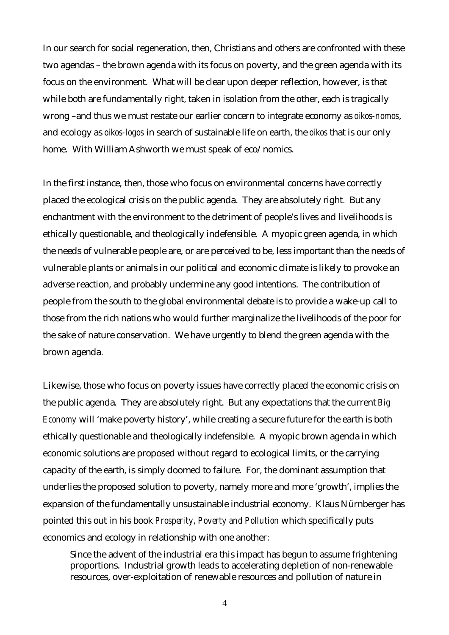In our search for social regeneration, then, Christians and others are confronted with these two agendas – the brown agenda with its focus on poverty, and the green agenda with its focus on the environment. What will be clear upon deeper reflection, however, is that while both are fundamentally right, taken in isolation from the other, each is tragically wrong –and thus we must restate our earlier concern to integrate economy as *oikos-nomos*, and ecology as *oikos-logos* in search of sustainable life on earth, the *oikos* that is our only home. With William Ashworth we must speak of eco/nomics.

In the first instance, then, those who focus on environmental concerns have correctly placed the ecological crisis on the public agenda. They are absolutely right. But any enchantment with the environment to the detriment of people's lives and livelihoods is ethically questionable, and theologically indefensible. A myopic green agenda, in which the needs of vulnerable people are, or are perceived to be, less important than the needs of vulnerable plants or animals in our political and economic climate is likely to provoke an adverse reaction, and probably undermine any good intentions. The contribution of people from the south to the global environmental debate is to provide a wake-up call to those from the rich nations who would further marginalize the livelihoods of the poor for the sake of nature conservation. We have urgently to blend the green agenda with the brown agenda.

Likewise, those who focus on poverty issues have correctly placed the economic crisis on the public agenda. They are absolutely right. But any expectations that the current *Big Economy* will 'make poverty history', while creating a secure future for the earth is both ethically questionable and theologically indefensible. A myopic brown agenda in which economic solutions are proposed without regard to ecological limits, or the carrying capacity of the earth, is simply doomed to failure. For, the dominant assumption that underlies the proposed solution to poverty, namely more and more 'growth', implies the expansion of the fundamentally unsustainable industrial economy. Klaus Nürnberger has pointed this out in his book *Prosperity, Poverty and Pollution* which specifically puts economics and ecology in relationship with one another:

Since the advent of the industrial era this impact has begun to assume frightening proportions. Industrial growth leads to accelerating depletion of non-renewable resources, over-exploitation of renewable resources and pollution of nature in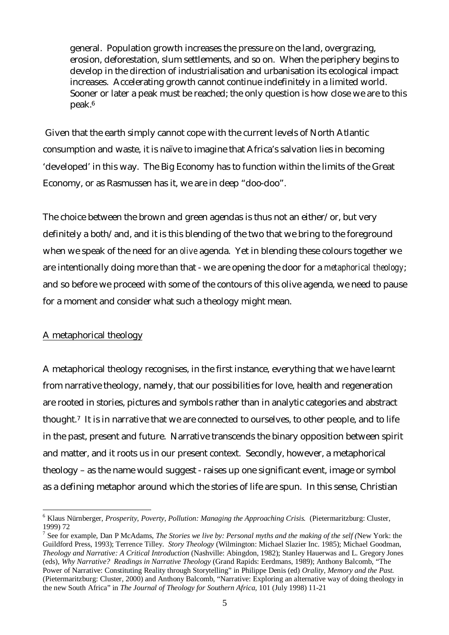general. Population growth increases the pressure on the land, overgrazing, erosion, deforestation, slum settlements, and so on. When the periphery begins to develop in the direction of industrialisation and urbanisation its ecological impact increases. Accelerating growth cannot continue indefinitely in a limited world. Sooner or later a peak must be reached; the only question is how close we are to this peak.<sup>6</sup>

Given that the earth simply cannot cope with the current levels of North Atlantic consumption and waste, it is naïve to imagine that Africa's salvation lies in becoming 'developed' in this way. The Big Economy has to function within the limits of the Great Economy, or as Rasmussen has it, we are in deep "doo-doo".

The choice between the brown and green agendas is thus not an either/or, but very definitely a both/and, and it is this blending of the two that we bring to the foreground when we speak of the need for an *olive* agenda. Yet in blending these colours together we are intentionally doing more than that - we are opening the door for a *metaphorical theology*; and so before we proceed with some of the contours of this olive agenda, we need to pause for a moment and consider what such a theology might mean.

# A metaphorical theology

A metaphorical theology recognises, in the first instance, everything that we have learnt from narrative theology, namely, that our possibilities for love, health and regeneration are rooted in stories, pictures and symbols rather than in analytic categories and abstract thought.<sup>7</sup> It is in narrative that we are connected to ourselves, to other people, and to life in the past, present and future. Narrative transcends the binary opposition between spirit and matter, and it roots us in our present context. Secondly, however, a metaphorical theology – as the name would suggest - raises up one significant event, image or symbol as a defining metaphor around which the stories of life are spun. In this sense, Christian

 $\overline{a}$ <sup>6</sup> Klaus Nürnberger, *Prosperity, Poverty, Pollution: Managing the Approaching Crisis.* (Pietermaritzburg: Cluster, 1999) 72

<sup>7</sup> See for example, Dan P McAdams, *The Stories we live by: Personal myths and the making of the self (*New York: the Guildford Press, 1993); Terrence Tilley. *Story Theology* (Wilmington: Michael Slazier Inc. 1985); Michael Goodman, *Theology and Narrative: A Critical Introduction* (Nashville: Abingdon, 1982); Stanley Hauerwas and L. Gregory Jones (eds), *Why Narrative? Readings in Narrative Theology* (Grand Rapids: Eerdmans, 1989); Anthony Balcomb, "The Power of Narrative: Constituting Reality through Storytelling" in Philippe Denis (ed) *Orality, Memory and the Past.*  (Pietermaritzburg: Cluster, 2000) and Anthony Balcomb, "Narrative: Exploring an alternative way of doing theology in the new South Africa" in *The Journal of Theology for Southern Africa,* 101 (July 1998) 11-21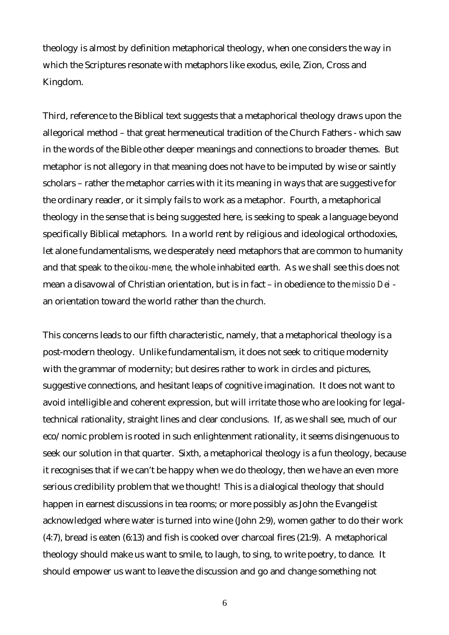theology is almost by definition metaphorical theology, when one considers the way in which the Scriptures resonate with metaphors like exodus, exile, Zion, Cross and Kingdom.

Third, reference to the Biblical text suggests that a metaphorical theology draws upon the allegorical method – that great hermeneutical tradition of the Church Fathers - which saw in the words of the Bible other deeper meanings and connections to broader themes. But metaphor is not allegory in that meaning does not have to be imputed by wise or saintly scholars – rather the metaphor carries with it its meaning in ways that are suggestive for the ordinary reader, or it simply fails to work as a metaphor. Fourth, a metaphorical theology in the sense that is being suggested here, is seeking to speak a language beyond specifically Biblical metaphors. In a world rent by religious and ideological orthodoxies, let alone fundamentalisms, we desperately need metaphors that are common to humanity and that speak to the *oikou-mene,* the whole inhabited earth. As we shall see this does not mean a disavowal of Christian orientation, but is in fact – in obedience to the *missio Dei* an orientation toward the world rather than the church.

This concerns leads to our fifth characteristic, namely, that a metaphorical theology is a post-modern theology. Unlike fundamentalism, it does not seek to critique modernity with the grammar of modernity; but desires rather to work in circles and pictures, suggestive connections, and hesitant leaps of cognitive imagination. It does not want to avoid intelligible and coherent expression, but will irritate those who are looking for legaltechnical rationality, straight lines and clear conclusions. If, as we shall see, much of our eco/nomic problem is rooted in such enlightenment rationality, it seems disingenuous to seek our solution in that quarter. Sixth, a metaphorical theology is a fun theology, because it recognises that if we can't be happy when we do theology, then we have an even more serious credibility problem that we thought! This is a dialogical theology that should happen in earnest discussions in tea rooms; or more possibly as John the Evangelist acknowledged where water is turned into wine (John 2:9), women gather to do their work (4:7), bread is eaten (6:13) and fish is cooked over charcoal fires (21:9). A metaphorical theology should make us want to smile, to laugh, to sing, to write poetry, to dance. It should empower us want to leave the discussion and go and change something not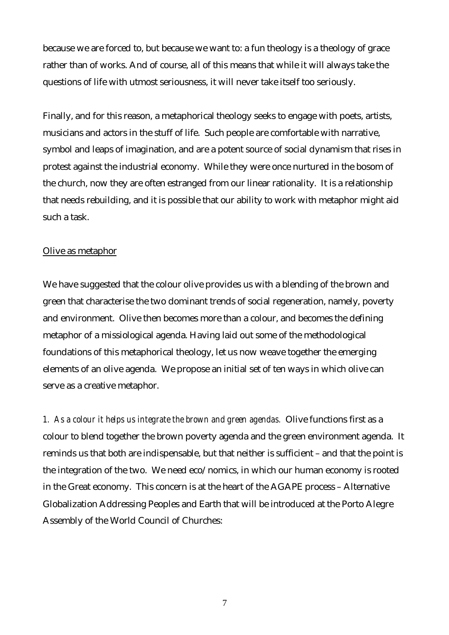because we are forced to, but because we want to: a fun theology is a theology of grace rather than of works. And of course, all of this means that while it will always take the questions of life with utmost seriousness, it will never take itself too seriously.

Finally, and for this reason, a metaphorical theology seeks to engage with poets, artists, musicians and actors in the stuff of life. Such people are comfortable with narrative, symbol and leaps of imagination, and are a potent source of social dynamism that rises in protest against the industrial economy. While they were once nurtured in the bosom of the church, now they are often estranged from our linear rationality. It is a relationship that needs rebuilding, and it is possible that our ability to work with metaphor might aid such a task.

## Olive as metaphor

We have suggested that the colour olive provides us with a blending of the brown and green that characterise the two dominant trends of social regeneration, namely, poverty and environment. Olive then becomes more than a colour, and becomes the defining metaphor of a missiological agenda. Having laid out some of the methodological foundations of this metaphorical theology, let us now weave together the emerging elements of an olive agenda. We propose an initial set of ten ways in which olive can serve as a creative metaphor.

*1. As a colour it helps us integrate the brown and green agendas.* Olive functions first as a colour to blend together the brown poverty agenda and the green environment agenda. It reminds us that both are indispensable, but that neither is sufficient – and that the point is the integration of the two. We need eco/nomics, in which our human economy is rooted in the Great economy. This concern is at the heart of the AGAPE process – Alternative Globalization Addressing Peoples and Earth that will be introduced at the Porto Alegre Assembly of the World Council of Churches: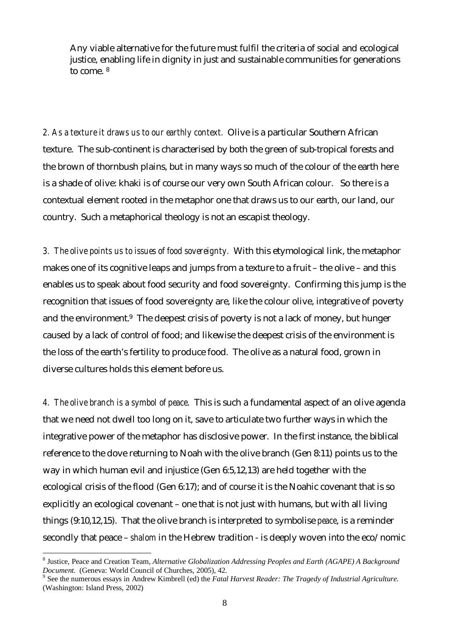Any viable alternative for the future must fulfil the criteria of social and ecological justice, enabling life in dignity in just and sustainable communities for generations to come. <sup>8</sup>

*2. As a texture it draws us to our earthly context.* Olive is a particular Southern African texture. The sub-continent is characterised by both the green of sub-tropical forests and the brown of thornbush plains, but in many ways so much of the colour of the earth here is a shade of olive: khaki is of course our very own South African colour. So there is a contextual element rooted in the metaphor one that draws us to our earth, our land, our country. Such a metaphorical theology is not an escapist theology.

*3. The olive points us to issues of food sovereignty.* With this etymological link, the metaphor makes one of its cognitive leaps and jumps from a texture to a fruit – the olive – and this enables us to speak about food security and food sovereignty. Confirming this jump is the recognition that issues of food sovereignty are, like the colour olive, integrative of poverty and the environment.<sup>9</sup> The deepest crisis of poverty is not a lack of money, but hunger caused by a lack of control of food; and likewise the deepest crisis of the environment is the loss of the earth's fertility to produce food. The olive as a natural food, grown in diverse cultures holds this element before us.

*4. The olive branch is a symbol of peace*. This is such a fundamental aspect of an olive agenda that we need not dwell too long on it, save to articulate two further ways in which the integrative power of the metaphor has disclosive power. In the first instance, the biblical reference to the dove returning to Noah with the olive branch (Gen 8:11) points us to the way in which human evil and injustice (Gen 6:5,12,13) are held together with the ecological crisis of the flood (Gen 6:17); and of course it is the Noahic covenant that is so explicitly an ecological covenant – one that is not just with humans, but with all living things (9:10,12,15). That the olive branch is interpreted to symbolise *peace*, is a reminder secondly that peace – *shalom* in the Hebrew tradition - is deeply woven into the eco/nomic

 8 Justice, Peace and Creation Team, *Alternative Globalization Addressing Peoples and Earth (AGAPE) A Background*  Document. (Geneva: World Council of Churches, 2005), 42.<br><sup>9</sup> See the numerous essays in Andrew Kimbrell (ed) the *Fatal Harvest Reader: The Tragedy of Industrial Agriculture.* 

<sup>(</sup>Washington: Island Press, 2002)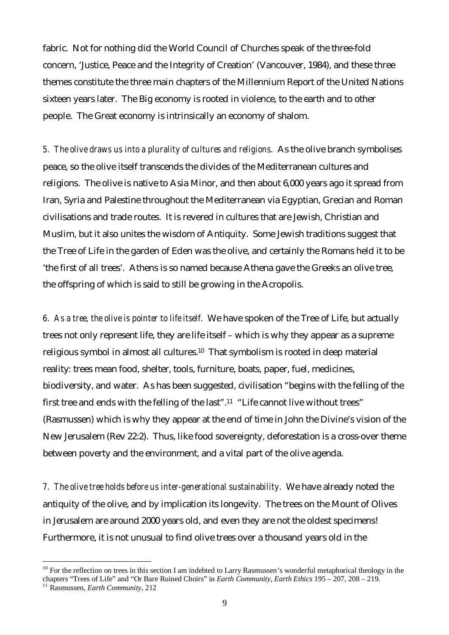fabric. Not for nothing did the World Council of Churches speak of the three-fold concern, 'Justice, Peace and the Integrity of Creation' (Vancouver, 1984), and these three themes constitute the three main chapters of the Millennium Report of the United Nations sixteen years later. The Big economy is rooted in violence, to the earth and to other people. The Great economy is intrinsically an economy of shalom.

*5. The olive draws us into a plurality of cultures and religions*. As the olive branch symbolises peace, so the olive itself transcends the divides of the Mediterranean cultures and religions. The olive is native to Asia Minor, and then about 6,000 years ago it spread from Iran, Syria and Palestine throughout the Mediterranean via Egyptian, Grecian and Roman civilisations and trade routes. It is revered in cultures that are Jewish, Christian and Muslim, but it also unites the wisdom of Antiquity. Some Jewish traditions suggest that the Tree of Life in the garden of Eden was the olive, and certainly the Romans held it to be 'the first of all trees'. Athens is so named because Athena gave the Greeks an olive tree, the offspring of which is said to still be growing in the Acropolis.

*6. As a tree, the olive is pointer to life itself.* We have spoken of the Tree of Life, but actually trees not only represent life, they are life itself – which is why they appear as a supreme religious symbol in almost all cultures.<sup>10</sup> That symbolism is rooted in deep material reality: trees mean food, shelter, tools, furniture, boats, paper, fuel, medicines, biodiversity, and water. As has been suggested, civilisation "begins with the felling of the first tree and ends with the felling of the last".<sup>11</sup> "Life cannot live without trees" (Rasmussen) which is why they appear at the end of time in John the Divine's vision of the New Jerusalem (Rev 22:2). Thus, like food sovereignty, deforestation is a cross-over theme between poverty and the environment, and a vital part of the olive agenda.

*7. The olive tree holds before us inter-generational sustainability.* We have already noted the antiquity of the olive, and by implication its longevity. The trees on the Mount of Olives in Jerusalem are around 2000 years old, and even they are not the oldest specimens! Furthermore, it is not unusual to find olive trees over a thousand years old in the

 $\overline{a}$ 

 $10$  For the reflection on trees in this section I am indebted to Larry Rasmussen's wonderful metaphorical theology in the chapters "Trees of Life" and "Or Bare Ruined Choirs" in *Earth Community, Earth Ethics* 195 – 207, 208 – 219.

<sup>11</sup> Rasmussen, *Earth Community*, 212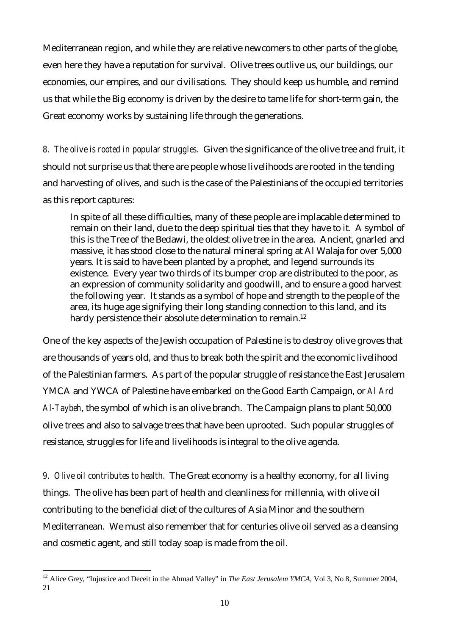Mediterranean region, and while they are relative newcomers to other parts of the globe, even here they have a reputation for survival. Olive trees outlive us, our buildings, our economies, our empires, and our civilisations. They should keep us humble, and remind us that while the Big economy is driven by the desire to tame life for short-term gain, the Great economy works by sustaining life through the generations.

*8. The olive is rooted in popular struggles*. Given the significance of the olive tree and fruit, it should not surprise us that there are people whose livelihoods are rooted in the tending and harvesting of olives, and such is the case of the Palestinians of the occupied territories as this report captures:

In spite of all these difficulties, many of these people are implacable determined to remain on their land, due to the deep spiritual ties that they have to it. A symbol of this is the Tree of the Bedawi, the oldest olive tree in the area. Ancient, gnarled and massive, it has stood close to the natural mineral spring at Al Walaja for over 5,000 years. It is said to have been planted by a prophet, and legend surrounds its existence. Every year two thirds of its bumper crop are distributed to the poor, as an expression of community solidarity and goodwill, and to ensure a good harvest the following year. It stands as a symbol of hope and strength to the people of the area, its huge age signifying their long standing connection to this land, and its hardy persistence their absolute determination to remain.<sup>12</sup>

One of the key aspects of the Jewish occupation of Palestine is to destroy olive groves that are thousands of years old, and thus to break both the spirit and the economic livelihood of the Palestinian farmers. As part of the popular struggle of resistance the East Jerusalem YMCA and YWCA of Palestine have embarked on the Good Earth Campaign, or *Al Ard Al-Taybeh*, the symbol of which is an olive branch. The Campaign plans to plant 50,000 olive trees and also to salvage trees that have been uprooted. Such popular struggles of resistance, struggles for life and livelihoods is integral to the olive agenda.

*9. Olive oil contributes to health.* The Great economy is a healthy economy, for all living things. The olive has been part of health and cleanliness for millennia, with olive oil contributing to the beneficial diet of the cultures of Asia Minor and the southern Mediterranean. We must also remember that for centuries olive oil served as a cleansing and cosmetic agent, and still today soap is made from the oil.

 $\overline{a}$ 

<sup>&</sup>lt;sup>12</sup> Alice Grey, "Injustice and Deceit in the Ahmad Valley" in *The East Jerusalem YMCA*, Vol 3, No 8, Summer 2004, 21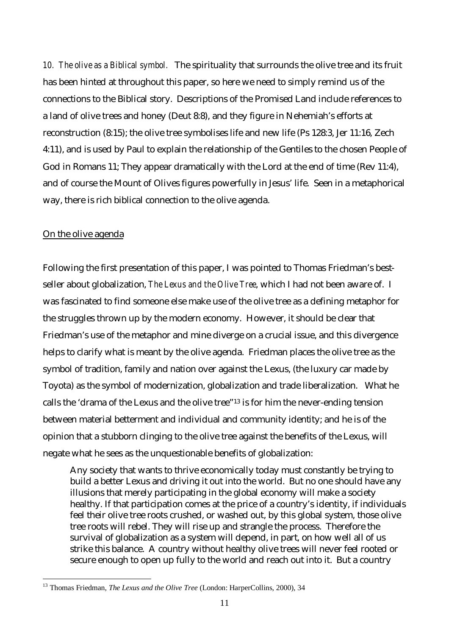*10. The olive as a Biblical symbol.* The spirituality that surrounds the olive tree and its fruit has been hinted at throughout this paper, so here we need to simply remind us of the connections to the Biblical story. Descriptions of the Promised Land include references to a land of olive trees and honey (Deut 8:8), and they figure in Nehemiah's efforts at reconstruction (8:15); the olive tree symbolises life and new life (Ps 128:3, Jer 11:16, Zech 4:11), and is used by Paul to explain the relationship of the Gentiles to the chosen People of God in Romans 11; They appear dramatically with the Lord at the end of time (Rev 11:4), and of course the Mount of Olives figures powerfully in Jesus' life. Seen in a metaphorical way, there is rich biblical connection to the olive agenda.

# On the olive agenda

Following the first presentation of this paper, I was pointed to Thomas Friedman's bestseller about globalization, *The Lexus and the Olive Tree*, which I had not been aware of. I was fascinated to find someone else make use of the olive tree as a defining metaphor for the struggles thrown up by the modern economy. However, it should be clear that Friedman's use of the metaphor and mine diverge on a crucial issue, and this divergence helps to clarify what is meant by the olive agenda. Friedman places the olive tree as the symbol of tradition, family and nation over against the Lexus, (the luxury car made by Toyota) as the symbol of modernization, globalization and trade liberalization. What he calls the 'drama of the Lexus and the olive tree"<sup>13</sup> is for him the never-ending tension between material betterment and individual and community identity; and he is of the opinion that a stubborn clinging to the olive tree against the benefits of the Lexus, will negate what he sees as the unquestionable benefits of globalization:

Any society that wants to thrive economically today must constantly be trying to build a better Lexus and driving it out into the world. But no one should have any illusions that merely participating in the global economy will make a society healthy. If that participation comes at the price of a country's identity, if individuals feel their olive tree roots crushed, or washed out, by this global system, those olive tree roots will rebel. They will rise up and strangle the process. Therefore the survival of globalization as a system will depend, in part, on how well all of us strike this balance. A country without healthy olive trees will never feel rooted or secure enough to open up fully to the world and reach out into it. But a country

 $\overline{a}$ <sup>13</sup> Thomas Friedman, *The Lexus and the Olive Tree* (London: HarperCollins, 2000), 34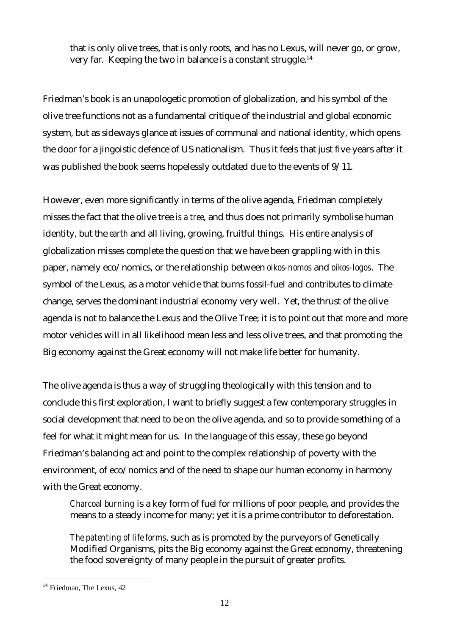that is only olive trees, that is only roots, and has no Lexus, will never go, or grow, very far. Keeping the two in balance is a constant struggle.<sup>14</sup>

Friedman's book is an unapologetic promotion of globalization, and his symbol of the olive tree functions not as a fundamental critique of the industrial and global economic system, but as sideways glance at issues of communal and national identity, which opens the door for a jingoistic defence of US nationalism. Thus it feels that just five years after it was published the book seems hopelessly outdated due to the events of 9/11.

However, even more significantly in terms of the olive agenda, Friedman completely misses the fact that the olive tree *is a tree*, and thus does not primarily symbolise human identity, but the *earth* and all living, growing, fruitful things. His entire analysis of globalization misses complete the question that we have been grappling with in this paper, namely eco/nomics, or the relationship between *oikos-nomos* and *oikos-logos*. The symbol of the Lexus, as a motor vehicle that burns fossil-fuel and contributes to climate change, serves the dominant industrial economy very well. Yet, the thrust of the olive agenda is not to balance the Lexus and the Olive Tree; it is to point out that more and more motor vehicles will in all likelihood mean less and less olive trees, and that promoting the Big economy against the Great economy will not make life better for humanity.

The olive agenda is thus a way of struggling theologically with this tension and to conclude this first exploration, I want to briefly suggest a few contemporary struggles in social development that need to be on the olive agenda, and so to provide something of a feel for what it might mean for us. In the language of this essay, these go beyond Friedman's balancing act and point to the complex relationship of poverty with the environment, of eco/nomics and of the need to shape our human economy in harmony with the Great economy.

*Charcoal burning* is a key form of fuel for millions of poor people, and provides the means to a steady income for many; yet it is a prime contributor to deforestation.

*The patenting of life forms*, such as is promoted by the purveyors of Genetically Modified Organisms, pits the Big economy against the Great economy, threatening the food sovereignty of many people in the pursuit of greater profits.

 $\overline{a}$ <sup>14</sup> Friedman, The Lexus, 42